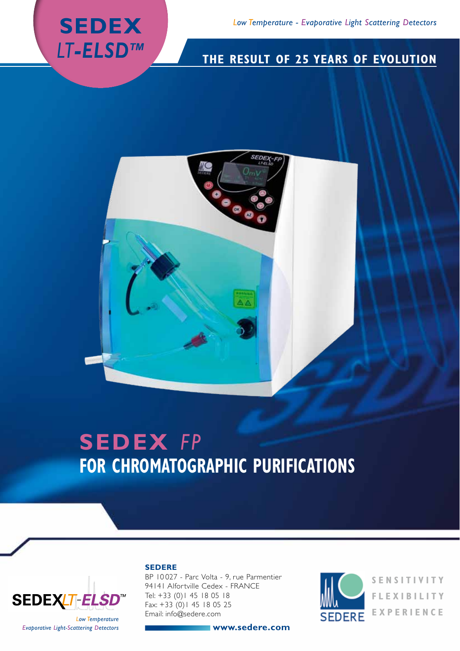

## **The result of 25 years of EVOLUTION**



# **SEDEX** *FP* **FOR CHROMATOGRAPHIC PURIFICATIONS**



#### **SEDERE**

BP 10 027 - Parc Volta - 9, rue Parmentier 94141 Alfortville Cedex - FRANCE Tel: +33 (0)1 45 18 05 18 Fax: +33 (0)1 45 18 05 25 Email: info@sedere.com

**www.sedere.com**



**SENSITIVITY FLEXIBILITY EXPERIENCE**